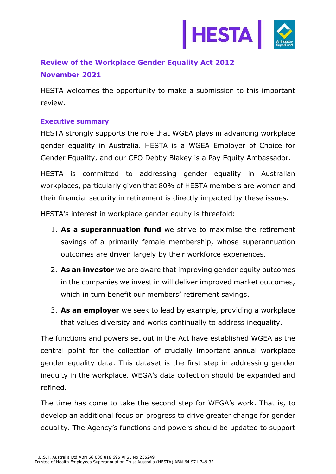

# **Review of the Workplace Gender Equality Act 2012 November 2021**

HESTA welcomes the opportunity to make a submission to this important review.

# **Executive summary**

HESTA strongly supports the role that WGEA plays in advancing workplace gender equality in Australia. HESTA is a WGEA Employer of Choice for Gender Equality, and our CEO Debby Blakey is a Pay Equity Ambassador.

HESTA is committed to addressing gender equality in Australian workplaces, particularly given that 80% of HESTA members are women and their financial security in retirement is directly impacted by these issues.

HESTA's interest in workplace gender equity is threefold:

- 1. **As a superannuation fund** we strive to maximise the retirement savings of a primarily female membership, whose superannuation outcomes are driven largely by their workforce experiences.
- 2. **As an investor** we are aware that improving gender equity outcomes in the companies we invest in will deliver improved market outcomes, which in turn benefit our members' retirement savings.
- 3. **As an employer** we seek to lead by example, providing a workplace that values diversity and works continually to address inequality.

The functions and powers set out in the Act have established WGEA as the central point for the collection of crucially important annual workplace gender equality data. This dataset is the first step in addressing gender inequity in the workplace. WEGA's data collection should be expanded and refined.

The time has come to take the second step for WEGA's work. That is, to develop an additional focus on progress to drive greater change for gender equality. The Agency's functions and powers should be updated to support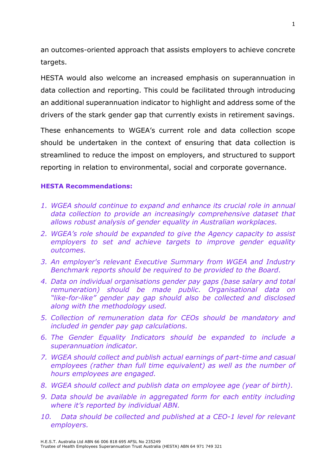an outcomes-oriented approach that assists employers to achieve concrete targets.

HESTA would also welcome an increased emphasis on superannuation in data collection and reporting. This could be facilitated through introducing an additional superannuation indicator to highlight and address some of the drivers of the stark gender gap that currently exists in retirement savings.

These enhancements to WGEA's current role and data collection scope should be undertaken in the context of ensuring that data collection is streamlined to reduce the impost on employers, and structured to support reporting in relation to environmental, social and corporate governance.

## **HESTA Recommendations:**

- *1. WGEA should continue to expand and enhance its crucial role in annual data collection to provide an increasingly comprehensive dataset that allows robust analysis of gender equality in Australian workplaces.*
- *2. WGEA's role should be expanded to give the Agency capacity to assist employers to set and achieve targets to improve gender equality outcomes.*
- *3. An employer's relevant Executive Summary from WGEA and Industry Benchmark reports should be required to be provided to the Board.*
- *4. Data on individual organisations gender pay gaps (base salary and total remuneration) should be made public. Organisational data on "like-for-like" gender pay gap should also be collected and disclosed along with the methodology used.*
- *5. Collection of remuneration data for CEOs should be mandatory and included in gender pay gap calculations.*
- *6. The Gender Equality Indicators should be expanded to include a superannuation indicator.*
- *7. WGEA should collect and publish actual earnings of part-time and casual employees (rather than full time equivalent) as well as the number of hours employees are engaged.*
- *8. WGEA should collect and publish data on employee age (year of birth).*
- *9. Data should be available in aggregated form for each entity including where it's reported by individual ABN.*
- *10. Data should be collected and published at a CEO-1 level for relevant employers.*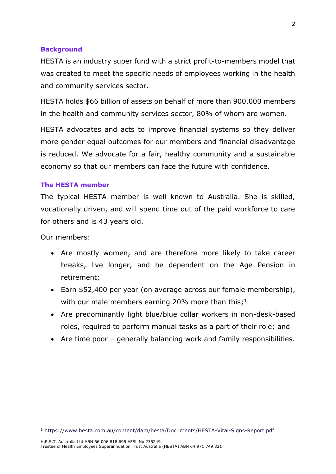## **Background**

HESTA is an industry super fund with a strict profit-to-members model that was created to meet the specific needs of employees working in the health and community services sector.

HESTA holds \$66 billion of assets on behalf of more than 900,000 members in the health and community services sector, 80% of whom are women.

HESTA advocates and acts to improve financial systems so they deliver more gender equal outcomes for our members and financial disadvantage is reduced. We advocate for a fair, healthy community and a sustainable economy so that our members can face the future with confidence.

#### **The HESTA member**

The typical HESTA member is well known to Australia. She is skilled, vocationally driven, and will spend time out of the paid workforce to care for others and is 43 years old.

Our members:

- Are mostly women, and are therefore more likely to take career breaks, live longer, and be dependent on the Age Pension in retirement;
- Earn \$52,400 per year (on average across our female membership), with our male members earning 20% more than this;  $1$
- Are predominantly light blue/blue collar workers in non-desk-based roles, required to perform manual tasks as a part of their role; and
- Are time poor generally balancing work and family responsibilities.

<sup>1</sup> <https://www.hesta.com.au/content/dam/hesta/Documents/HESTA-Vital-Signs-Report.pdf>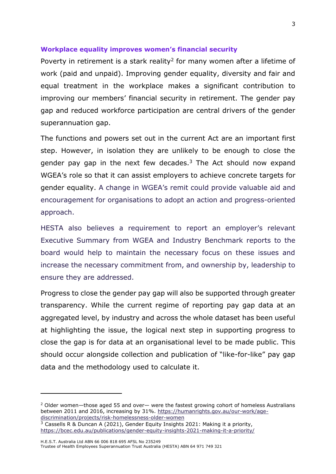#### **Workplace equality improves women's financial security**

Poverty in retirement is a stark reality<sup>2</sup> for many women after a lifetime of work (paid and unpaid). Improving gender equality, diversity and fair and equal treatment in the workplace makes a significant contribution to improving our members' financial security in retirement. The gender pay gap and reduced workforce participation are central drivers of the gender superannuation gap.

The functions and powers set out in the current Act are an important first step. However, in isolation they are unlikely to be enough to close the gender pay gap in the next few decades.<sup>3</sup> The Act should now expand WGEA's role so that it can assist employers to achieve concrete targets for gender equality. A change in WGEA's remit could provide valuable aid and encouragement for organisations to adopt an action and progress-oriented approach.

HESTA also believes a requirement to report an employer's relevant Executive Summary from WGEA and Industry Benchmark reports to the board would help to maintain the necessary focus on these issues and increase the necessary commitment from, and ownership by, leadership to ensure they are addressed.

Progress to close the gender pay gap will also be supported through greater transparency. While the current regime of reporting pay gap data at an aggregated level, by industry and across the whole dataset has been useful at highlighting the issue, the logical next step in supporting progress to close the gap is for data at an organisational level to be made public. This should occur alongside collection and publication of "like-for-like" pay gap data and the methodology used to calculate it.

 $2$  Older women—those aged 55 and over— were the fastest growing cohort of homeless Australians between 2011 and 2016, increasing by 31%. [https://humanrights.gov.au/our-work/age](https://humanrights.gov.au/our-work/age-discrimination/projects/risk-homelessness-older-women)[discrimination/projects/risk-homelessness-older-women](https://humanrights.gov.au/our-work/age-discrimination/projects/risk-homelessness-older-women)

<sup>&</sup>lt;sup>3</sup> Cassells R & Duncan A (2021), Gender Equity Insights 2021: Making it a priority, <https://bcec.edu.au/publications/gender-equity-insights-2021-making-it-a-priority/>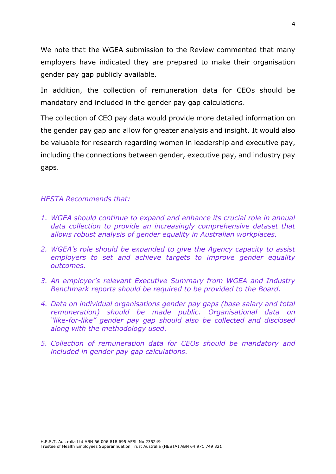We note that the WGEA submission to the Review commented that many employers have indicated they are prepared to make their organisation gender pay gap publicly available.

In addition, the collection of remuneration data for CEOs should be mandatory and included in the gender pay gap calculations.

The collection of CEO pay data would provide more detailed information on the gender pay gap and allow for greater analysis and insight. It would also be valuable for research regarding women in leadership and executive pay, including the connections between gender, executive pay, and industry pay gaps.

# *HESTA Recommends that:*

- *1. WGEA should continue to expand and enhance its crucial role in annual data collection to provide an increasingly comprehensive dataset that allows robust analysis of gender equality in Australian workplaces.*
- *2. WGEA's role should be expanded to give the Agency capacity to assist employers to set and achieve targets to improve gender equality outcomes.*
- *3. An employer's relevant Executive Summary from WGEA and Industry Benchmark reports should be required to be provided to the Board.*
- *4. Data on individual organisations gender pay gaps (base salary and total remuneration) should be made public. Organisational data on "like-for-like" gender pay gap should also be collected and disclosed along with the methodology used.*
- *5. Collection of remuneration data for CEOs should be mandatory and included in gender pay gap calculations.*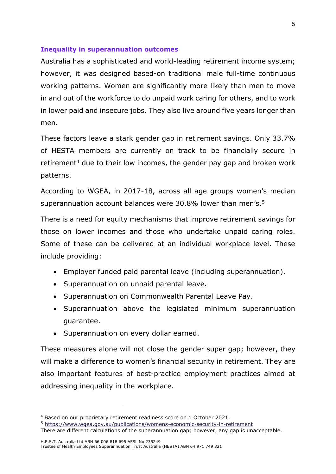### **Inequality in superannuation outcomes**

Australia has a sophisticated and world-leading retirement income system; however, it was designed based-on traditional male full-time continuous working patterns. Women are significantly more likely than men to move in and out of the workforce to do unpaid work caring for others, and to work in lower paid and insecure jobs. They also live around five years longer than men.

These factors leave a stark gender gap in retirement savings. Only 33.7% of HESTA members are currently on track to be financially secure in retirement<sup>4</sup> due to their low incomes, the gender pay gap and broken work patterns.

According to WGEA, in 2017-18, across all age groups women's median superannuation account balances were 30.8% lower than men's.<sup>5</sup>

There is a need for equity mechanisms that improve retirement savings for those on lower incomes and those who undertake unpaid caring roles. Some of these can be delivered at an individual workplace level. These include providing:

- Employer funded paid parental leave (including superannuation).
- Superannuation on unpaid parental leave.
- Superannuation on Commonwealth Parental Leave Pay.
- Superannuation above the legislated minimum superannuation guarantee.
- Superannuation on every dollar earned.

These measures alone will not close the gender super gap; however, they will make a difference to women's financial security in retirement. They are also important features of best-practice employment practices aimed at addressing inequality in the workplace.

<sup>5</sup> <https://www.wgea.gov.au/publications/womens-economic-security-in-retirement> There are different calculations of the superannuation gap; however, any gap is unacceptable.

<sup>4</sup> Based on our proprietary retirement readiness score on 1 October 2021.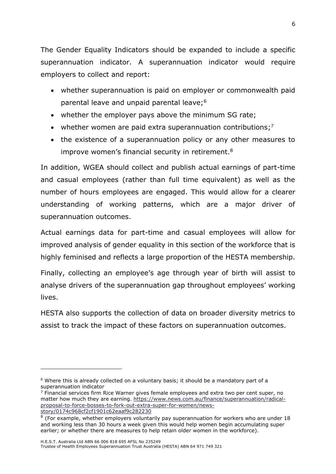The Gender Equality Indicators should be expanded to include a specific superannuation indicator. A superannuation indicator would require employers to collect and report:

- whether superannuation is paid on employer or commonwealth paid parental leave and unpaid parental leave;<sup>6</sup>
- whether the employer pays above the minimum SG rate;
- whether women are paid extra superannuation contributions;<sup>7</sup>
- the existence of a superannuation policy or any other measures to improve women's financial security in retirement. 8

In addition, WGEA should collect and publish actual earnings of part-time and casual employees (rather than full time equivalent) as well as the number of hours employees are engaged. This would allow for a clearer understanding of working patterns, which are a major driver of superannuation outcomes.

Actual earnings data for part-time and casual employees will allow for improved analysis of gender equality in this section of the workforce that is highly feminised and reflects a large proportion of the HESTA membership.

Finally, collecting an employee's age through year of birth will assist to analyse drivers of the superannuation gap throughout employees' working lives.

HESTA also supports the collection of data on broader diversity metrics to assist to track the impact of these factors on superannuation outcomes.

 $6$  Where this is already collected on a voluntary basis; it should be a mandatory part of a superannuation indicator

 $<sup>7</sup>$  Financial services firm Rice Warner gives female employees and extra two per cent super, no</sup> matter how much they are earning. [https://www.news.com.au/finance/superannuation/radical](https://www.news.com.au/finance/superannuation/radical-proposal-to-force-bosses-to-fork-out-extra-super-for-women/news-story/0174c968cf2cf1901c62eaaf9c282230)[proposal-to-force-bosses-to-fork-out-extra-super-for-women/news](https://www.news.com.au/finance/superannuation/radical-proposal-to-force-bosses-to-fork-out-extra-super-for-women/news-story/0174c968cf2cf1901c62eaaf9c282230)[story/0174c968cf2cf1901c62eaaf9c282230](https://www.news.com.au/finance/superannuation/radical-proposal-to-force-bosses-to-fork-out-extra-super-for-women/news-story/0174c968cf2cf1901c62eaaf9c282230)

 $8$  (For example, whether employers voluntarily pay superannuation for workers who are under 18 and working less than 30 hours a week given this would help women begin accumulating super earlier; or whether there are measures to help retain older women in the workforce).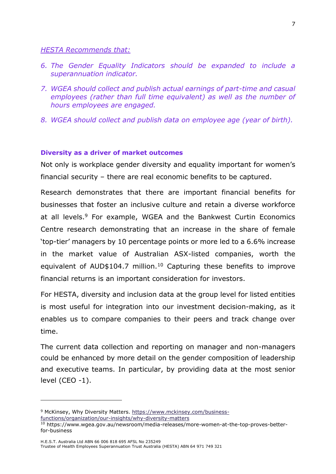## *HESTA Recommends that:*

- *6. The Gender Equality Indicators should be expanded to include a superannuation indicator.*
- *7. WGEA should collect and publish actual earnings of part-time and casual employees (rather than full time equivalent) as well as the number of hours employees are engaged.*
- *8. WGEA should collect and publish data on employee age (year of birth).*

# **Diversity as a driver of market outcomes**

Not only is workplace gender diversity and equality important for women's financial security – there are real economic benefits to be captured.

Research demonstrates that there are important financial benefits for businesses that foster an inclusive culture and retain a diverse workforce at all levels.<sup>9</sup> For example, WGEA and the Bankwest Curtin Economics Centre research demonstrating that an increase in the share of female 'top-tier' managers by 10 percentage points or more led to a 6.6% increase in the market value of Australian ASX-listed companies, worth the equivalent of AUD\$104.7 million.<sup>10</sup> Capturing these benefits to improve financial returns is an important consideration for investors.

For HESTA, diversity and inclusion data at the group level for listed entities is most useful for integration into our investment decision-making, as it enables us to compare companies to their peers and track change over time.

The current data collection and reporting on manager and non-managers could be enhanced by more detail on the gender composition of leadership and executive teams. In particular, by providing data at the most senior level (CEO -1).

<sup>9</sup> McKinsey, Why Diversity Matters. [https://www.mckinsey.com/business](https://www.mckinsey.com/business-functions/organization/our-insights/why-diversity-matters)[functions/organization/our-insights/why-diversity-matters](https://www.mckinsey.com/business-functions/organization/our-insights/why-diversity-matters)

<sup>10</sup> https://www.wgea.gov.au/newsroom/media-releases/more-women-at-the-top-proves-betterfor-business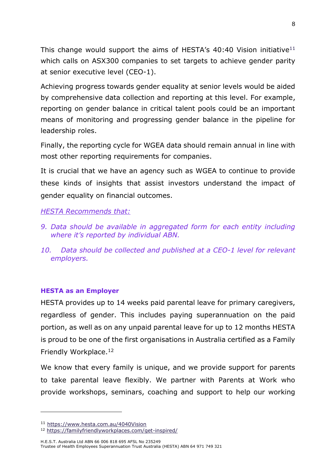This change would support the aims of HESTA's  $40:40$  Vision initiative<sup>11</sup> which calls on ASX300 companies to set targets to achieve gender parity at senior executive level (CEO-1).

Achieving progress towards gender equality at senior levels would be aided by comprehensive data collection and reporting at this level. For example, reporting on gender balance in critical talent pools could be an important means of monitoring and progressing gender balance in the pipeline for leadership roles.

Finally, the reporting cycle for WGEA data should remain annual in line with most other reporting requirements for companies.

It is crucial that we have an agency such as WGEA to continue to provide these kinds of insights that assist investors understand the impact of gender equality on financial outcomes.

## *HESTA Recommends that:*

- *9. Data should be available in aggregated form for each entity including where it's reported by individual ABN.*
- *10. Data should be collected and published at a CEO-1 level for relevant employers.*

## **HESTA as an Employer**

HESTA provides up to 14 weeks paid parental leave for primary caregivers, regardless of gender. This includes paying superannuation on the paid portion, as well as on any unpaid parental leave for up to 12 months HESTA is proud to be one of the first organisations in Australia certified as a Family Friendly Workplace.<sup>12</sup>

We know that every family is unique, and we provide support for parents to take parental leave flexibly. We partner with Parents at Work who provide workshops, seminars, coaching and support to help our working

<sup>11</sup> <https://www.hesta.com.au/4040Vision>

<sup>12</sup> <https://familyfriendlyworkplaces.com/get-inspired/>